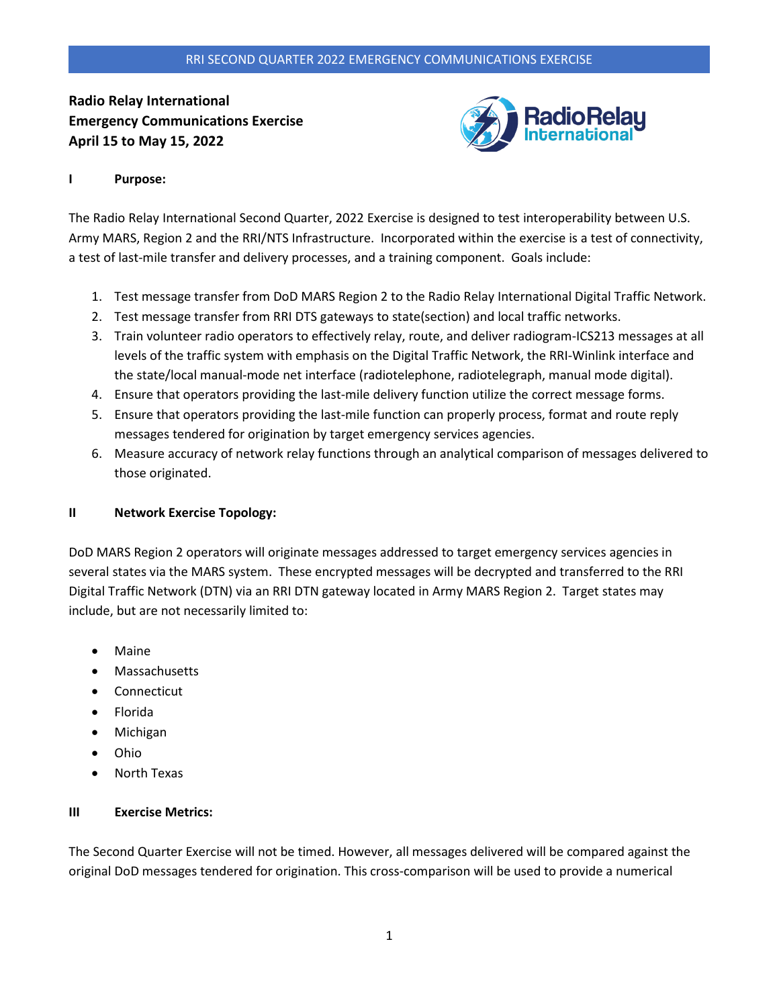## RRI SECOND QUARTER 2022 EMERGENCY COMMUNICATIONS EXERCISE

**Radio Relay International Emergency Communications Exercise April 15 to May 15, 2022**



## **I Purpose:**

The Radio Relay International Second Quarter, 2022 Exercise is designed to test interoperability between U.S. Army MARS, Region 2 and the RRI/NTS Infrastructure. Incorporated within the exercise is a test of connectivity, a test of last-mile transfer and delivery processes, and a training component. Goals include:

- 1. Test message transfer from DoD MARS Region 2 to the Radio Relay International Digital Traffic Network.
- 2. Test message transfer from RRI DTS gateways to state(section) and local traffic networks.
- 3. Train volunteer radio operators to effectively relay, route, and deliver radiogram-ICS213 messages at all levels of the traffic system with emphasis on the Digital Traffic Network, the RRI-Winlink interface and the state/local manual-mode net interface (radiotelephone, radiotelegraph, manual mode digital).
- 4. Ensure that operators providing the last-mile delivery function utilize the correct message forms.
- 5. Ensure that operators providing the last-mile function can properly process, format and route reply messages tendered for origination by target emergency services agencies.
- 6. Measure accuracy of network relay functions through an analytical comparison of messages delivered to those originated.

#### **II Network Exercise Topology:**

DoD MARS Region 2 operators will originate messages addressed to target emergency services agencies in several states via the MARS system. These encrypted messages will be decrypted and transferred to the RRI Digital Traffic Network (DTN) via an RRI DTN gateway located in Army MARS Region 2. Target states may include, but are not necessarily limited to:

- **Maine**
- Massachusetts
- **Connecticut**
- Florida
- Michigan
- Ohio
- North Texas

#### **III Exercise Metrics:**

The Second Quarter Exercise will not be timed. However, all messages delivered will be compared against the original DoD messages tendered for origination. This cross-comparison will be used to provide a numerical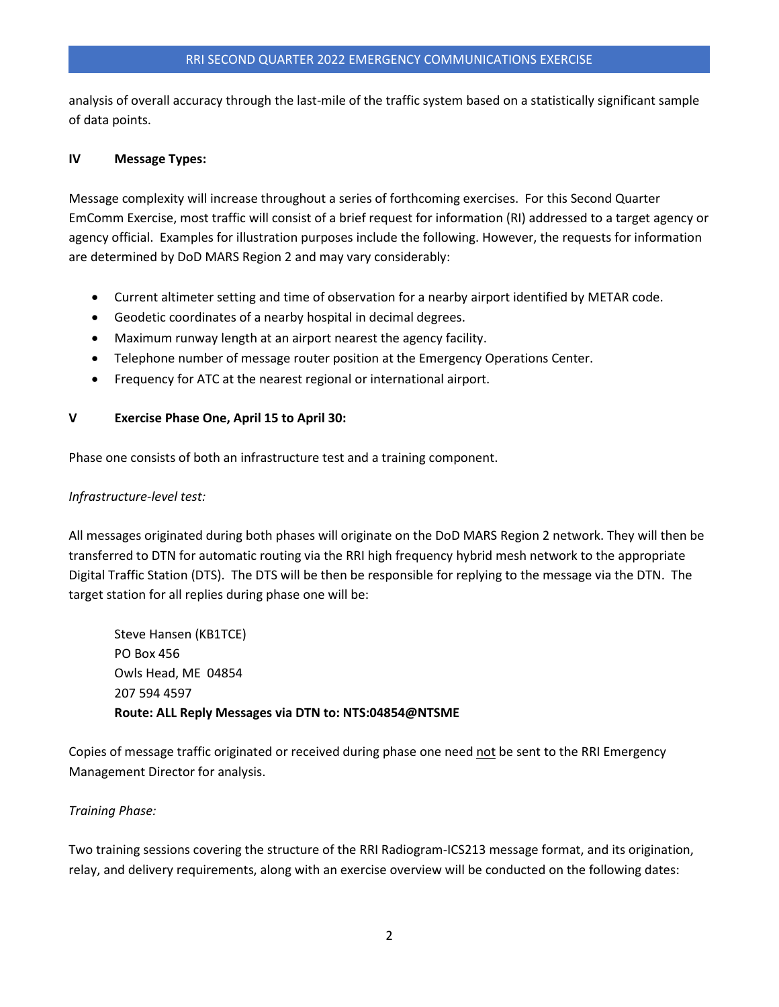analysis of overall accuracy through the last-mile of the traffic system based on a statistically significant sample of data points.

# **IV Message Types:**

Message complexity will increase throughout a series of forthcoming exercises. For this Second Quarter EmComm Exercise, most traffic will consist of a brief request for information (RI) addressed to a target agency or agency official. Examples for illustration purposes include the following. However, the requests for information are determined by DoD MARS Region 2 and may vary considerably:

- Current altimeter setting and time of observation for a nearby airport identified by METAR code.
- Geodetic coordinates of a nearby hospital in decimal degrees.
- Maximum runway length at an airport nearest the agency facility.
- Telephone number of message router position at the Emergency Operations Center.
- Frequency for ATC at the nearest regional or international airport.

## **V Exercise Phase One, April 15 to April 30:**

Phase one consists of both an infrastructure test and a training component.

# *Infrastructure-level test:*

All messages originated during both phases will originate on the DoD MARS Region 2 network. They will then be transferred to DTN for automatic routing via the RRI high frequency hybrid mesh network to the appropriate Digital Traffic Station (DTS). The DTS will be then be responsible for replying to the message via the DTN. The target station for all replies during phase one will be:

Steve Hansen (KB1TCE) PO Box 456 Owls Head, ME 04854 207 594 4597 **Route: ALL Reply Messages via DTN to: NTS:04854@NTSME**

Copies of message traffic originated or received during phase one need not be sent to the RRI Emergency Management Director for analysis.

## *Training Phase:*

Two training sessions covering the structure of the RRI Radiogram-ICS213 message format, and its origination, relay, and delivery requirements, along with an exercise overview will be conducted on the following dates: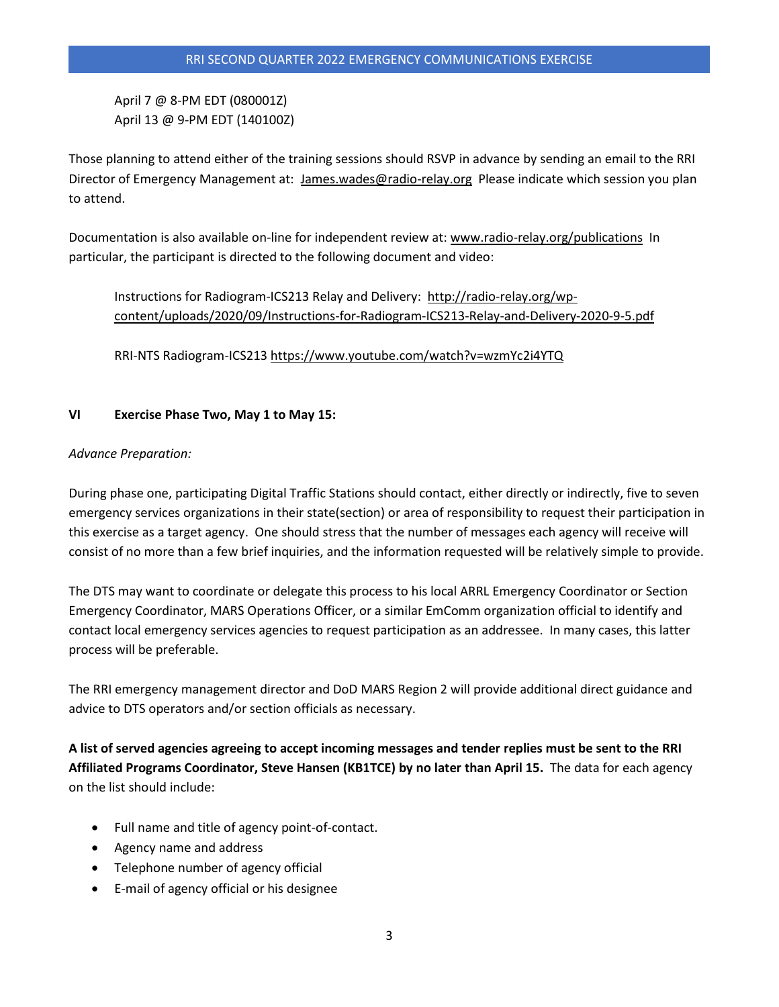April 7 @ 8-PM EDT (080001Z) April 13 @ 9-PM EDT (140100Z)

Those planning to attend either of the training sessions should RSVP in advance by sending an email to the RRI Director of Emergency Management at: [James.wades@radio-relay.org](mailto:James.wades@radio-relay.org) Please indicate which session you plan to attend.

Documentation is also available on-line for independent review at: [www.radio-relay.org/publications](http://www.radio-relay.org/publications) In particular, the participant is directed to the following document and video:

Instructions for Radiogram-ICS213 Relay and Delivery: [http://radio-relay.org/wp](http://radio-relay.org/wp-content/uploads/2020/09/Instructions-for-Radiogram-ICS213-Relay-and-Delivery-2020-9-5.pdf)[content/uploads/2020/09/Instructions-for-Radiogram-ICS213-Relay-and-Delivery-2020-9-5.pdf](http://radio-relay.org/wp-content/uploads/2020/09/Instructions-for-Radiogram-ICS213-Relay-and-Delivery-2020-9-5.pdf)

RRI-NTS Radiogram-ICS213<https://www.youtube.com/watch?v=wzmYc2i4YTQ>

## **VI Exercise Phase Two, May 1 to May 15:**

## *Advance Preparation:*

During phase one, participating Digital Traffic Stations should contact, either directly or indirectly, five to seven emergency services organizations in their state(section) or area of responsibility to request their participation in this exercise as a target agency. One should stress that the number of messages each agency will receive will consist of no more than a few brief inquiries, and the information requested will be relatively simple to provide.

The DTS may want to coordinate or delegate this process to his local ARRL Emergency Coordinator or Section Emergency Coordinator, MARS Operations Officer, or a similar EmComm organization official to identify and contact local emergency services agencies to request participation as an addressee. In many cases, this latter process will be preferable.

The RRI emergency management director and DoD MARS Region 2 will provide additional direct guidance and advice to DTS operators and/or section officials as necessary.

**A list of served agencies agreeing to accept incoming messages and tender replies must be sent to the RRI Affiliated Programs Coordinator, Steve Hansen (KB1TCE) by no later than April 15.** The data for each agency on the list should include:

- Full name and title of agency point-of-contact.
- Agency name and address
- Telephone number of agency official
- E-mail of agency official or his designee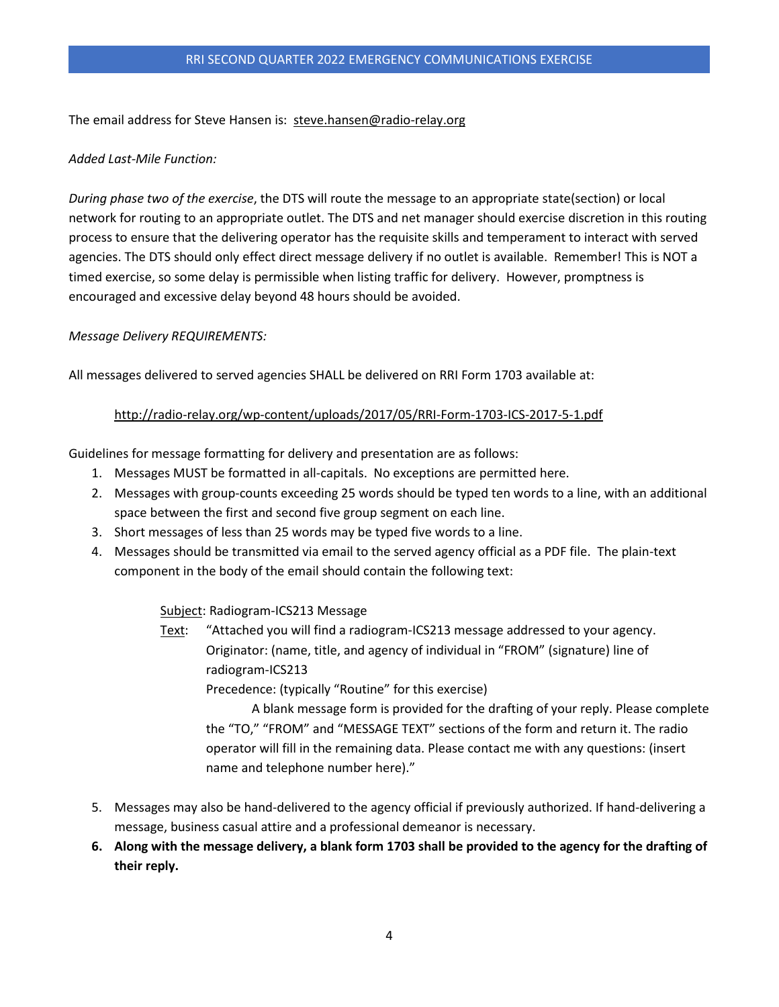The email address for Steve Hansen is: [steve.hansen@radio-relay.org](mailto:steve.hansen@radio-relay.org)

# *Added Last-Mile Function:*

*During phase two of the exercise*, the DTS will route the message to an appropriate state(section) or local network for routing to an appropriate outlet. The DTS and net manager should exercise discretion in this routing process to ensure that the delivering operator has the requisite skills and temperament to interact with served agencies. The DTS should only effect direct message delivery if no outlet is available. Remember! This is NOT a timed exercise, so some delay is permissible when listing traffic for delivery. However, promptness is encouraged and excessive delay beyond 48 hours should be avoided.

# *Message Delivery REQUIREMENTS:*

All messages delivered to served agencies SHALL be delivered on RRI Form 1703 available at:

# <http://radio-relay.org/wp-content/uploads/2017/05/RRI-Form-1703-ICS-2017-5-1.pdf>

Guidelines for message formatting for delivery and presentation are as follows:

- 1. Messages MUST be formatted in all-capitals. No exceptions are permitted here.
- 2. Messages with group-counts exceeding 25 words should be typed ten words to a line, with an additional space between the first and second five group segment on each line.
- 3. Short messages of less than 25 words may be typed five words to a line.
- 4. Messages should be transmitted via email to the served agency official as a PDF file. The plain-text component in the body of the email should contain the following text:

## Subject: Radiogram-ICS213 Message

Text: "Attached you will find a radiogram-ICS213 message addressed to your agency. Originator: (name, title, and agency of individual in "FROM" (signature) line of radiogram-ICS213

Precedence: (typically "Routine" for this exercise)

A blank message form is provided for the drafting of your reply. Please complete the "TO," "FROM" and "MESSAGE TEXT" sections of the form and return it. The radio operator will fill in the remaining data. Please contact me with any questions: (insert name and telephone number here)."

- 5. Messages may also be hand-delivered to the agency official if previously authorized. If hand-delivering a message, business casual attire and a professional demeanor is necessary.
- **6. Along with the message delivery, a blank form 1703 shall be provided to the agency for the drafting of their reply.**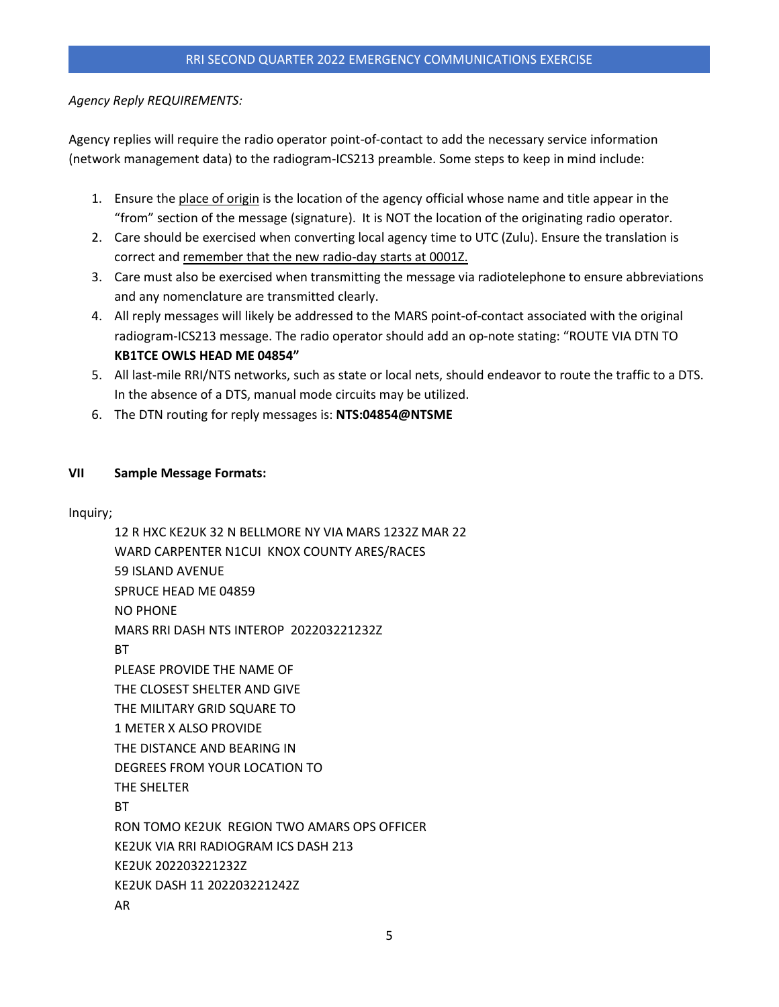# *Agency Reply REQUIREMENTS:*

Agency replies will require the radio operator point-of-contact to add the necessary service information (network management data) to the radiogram-ICS213 preamble. Some steps to keep in mind include:

- 1. Ensure the place of origin is the location of the agency official whose name and title appear in the "from" section of the message (signature). It is NOT the location of the originating radio operator.
- 2. Care should be exercised when converting local agency time to UTC (Zulu). Ensure the translation is correct and remember that the new radio-day starts at 0001Z.
- 3. Care must also be exercised when transmitting the message via radiotelephone to ensure abbreviations and any nomenclature are transmitted clearly.
- 4. All reply messages will likely be addressed to the MARS point-of-contact associated with the original radiogram-ICS213 message. The radio operator should add an op-note stating: "ROUTE VIA DTN TO **KB1TCE OWLS HEAD ME 04854"**
- 5. All last-mile RRI/NTS networks, such as state or local nets, should endeavor to route the traffic to a DTS. In the absence of a DTS, manual mode circuits may be utilized.
- 6. The DTN routing for reply messages is: **NTS:04854@NTSME**

# **VII Sample Message Formats:**

Inquiry;

12 R HXC KE2UK 32 N BELLMORE NY VIA MARS 1232Z MAR 22 WARD CARPENTER N1CUI KNOX COUNTY ARES/RACES 59 ISLAND AVENUE SPRUCE HEAD ME 04859 NO PHONE MARS RRI DASH NTS INTEROP 202203221232Z **BT** PLEASE PROVIDE THE NAME OF THE CLOSEST SHELTER AND GIVE THE MILITARY GRID SQUARE TO 1 METER X ALSO PROVIDE THE DISTANCE AND BEARING IN DEGREES FROM YOUR LOCATION TO THE SHELTER **BT** RON TOMO KE2UK REGION TWO AMARS OPS OFFICER KE2UK VIA RRI RADIOGRAM ICS DASH 213 KE2UK 202203221232Z KE2UK DASH 11 202203221242Z AR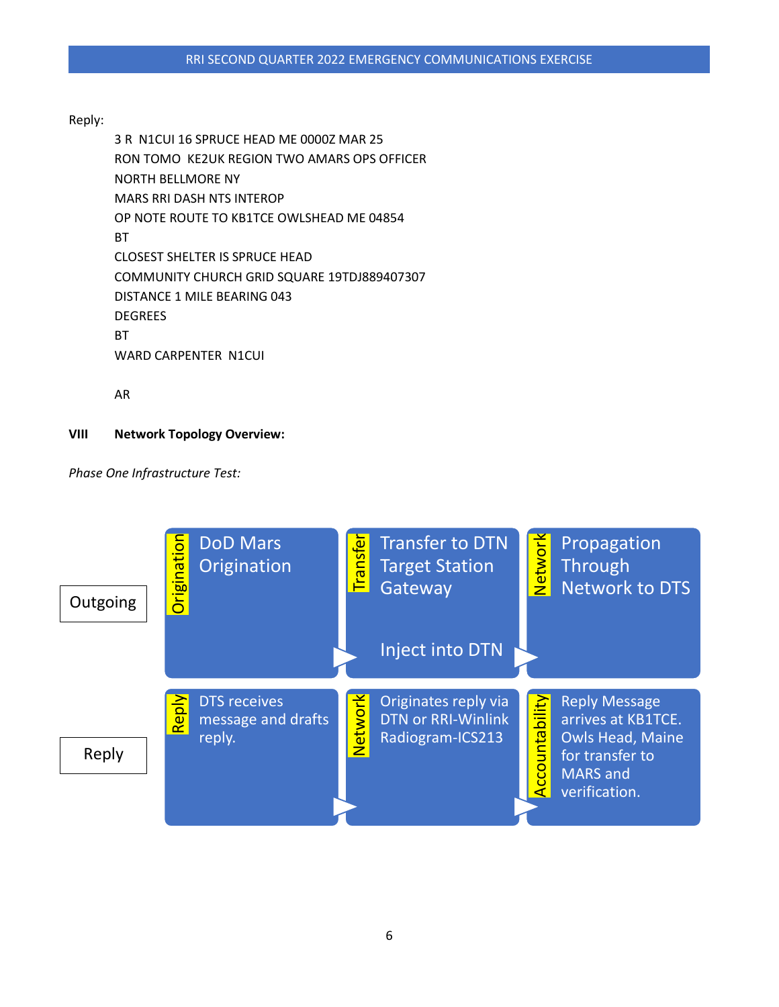# Reply:

3 R N1CUI 16 SPRUCE HEAD ME 0000Z MAR 25 RON TOMO KE2UK REGION TWO AMARS OPS OFFICER NORTH BELLMORE NY MARS RRI DASH NTS INTEROP OP NOTE ROUTE TO KB1TCE OWLSHEAD ME 04854 BT CLOSEST SHELTER IS SPRUCE HEAD COMMUNITY CHURCH GRID SQUARE 19TDJ889407307 DISTANCE 1 MILE BEARING 043 **DEGREES BT** WARD CARPENTER N1CUI

AR

# **VIII Network Topology Overview:**

*Phase One Infrastructure Test:*

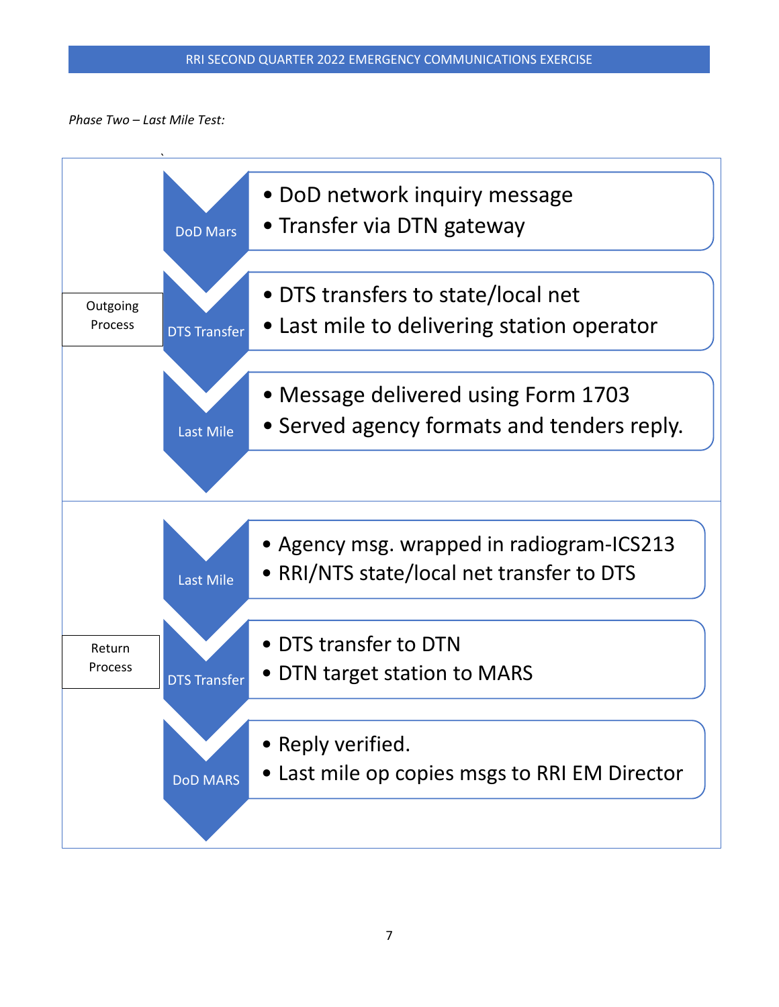*Phase Two – Last Mile Test:*

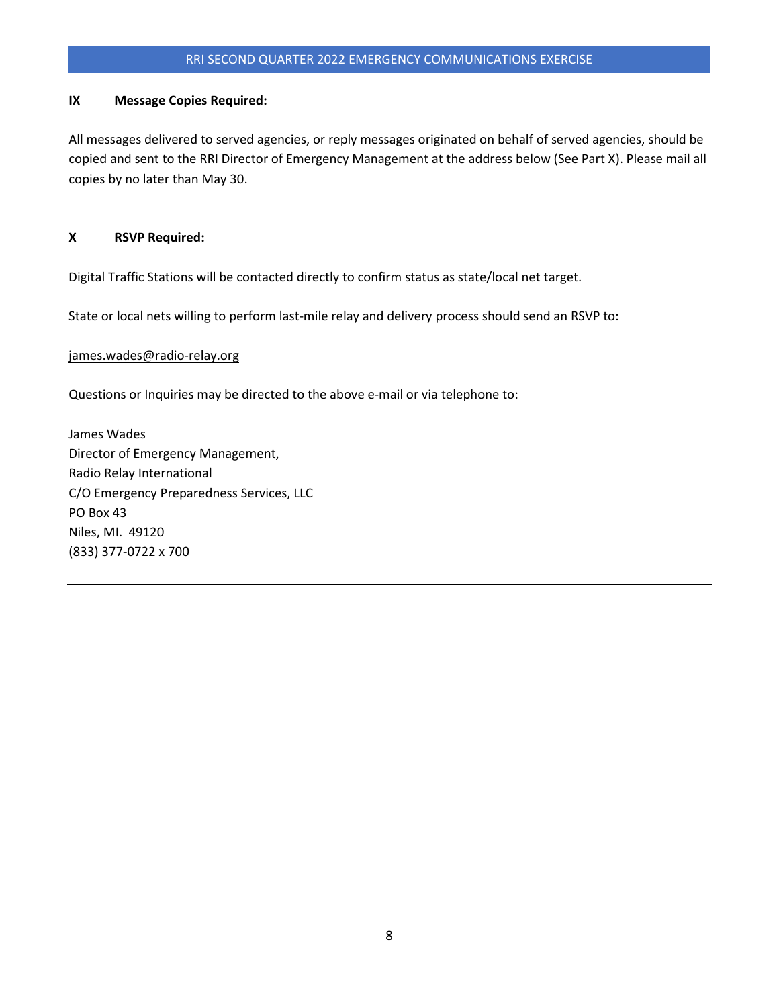# RRI SECOND QUARTER 2022 EMERGENCY COMMUNICATIONS EXERCISE

#### **IX Message Copies Required:**

All messages delivered to served agencies, or reply messages originated on behalf of served agencies, should be copied and sent to the RRI Director of Emergency Management at the address below (See Part X). Please mail all copies by no later than May 30.

### **X RSVP Required:**

Digital Traffic Stations will be contacted directly to confirm status as state/local net target.

State or local nets willing to perform last-mile relay and delivery process should send an RSVP to:

#### [james.wades@radio-relay.org](mailto:james.wades@radio-relay.org)

Questions or Inquiries may be directed to the above e-mail or via telephone to:

James Wades Director of Emergency Management, Radio Relay International C/O Emergency Preparedness Services, LLC PO Box 43 Niles, MI. 49120 (833) 377-0722 x 700